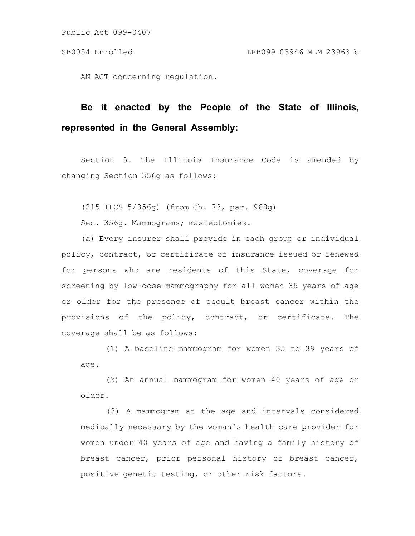AN ACT concerning regulation.

# **Be it enacted by the People of the State of Illinois, represented in the General Assembly:**

Section 5. The Illinois Insurance Code is amended by changing Section 356g as follows:

(215 ILCS 5/356g) (from Ch. 73, par. 968g)

Sec. 356g. Mammograms; mastectomies.

(a) Every insurer shall provide in each group or individual policy, contract, or certificate of insurance issued or renewed for persons who are residents of this State, coverage for screening by low-dose mammography for all women 35 years of age or older for the presence of occult breast cancer within the provisions of the policy, contract, or certificate. The coverage shall be as follows:

(1) A baseline mammogram for women 35 to 39 years of age.

(2) An annual mammogram for women 40 years of age or older.

(3) A mammogram at the age and intervals considered medically necessary by the woman's health care provider for women under 40 years of age and having a family history of breast cancer, prior personal history of breast cancer, positive genetic testing, or other risk factors.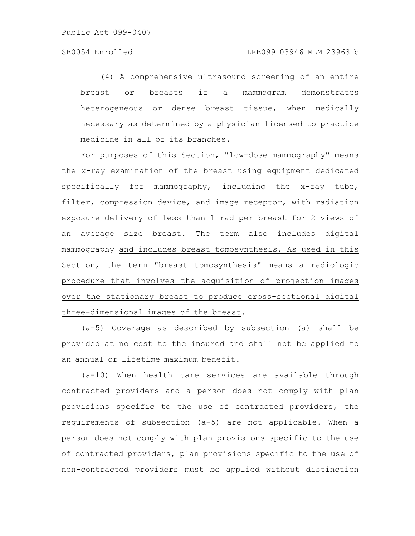(4) A comprehensive ultrasound screening of an entire breast or breasts if a mammogram demonstrates heterogeneous or dense breast tissue, when medically necessary as determined by a physician licensed to practice medicine in all of its branches.

For purposes of this Section, "low-dose mammography" means the x-ray examination of the breast using equipment dedicated specifically for mammography, including the x-ray tube, filter, compression device, and image receptor, with radiation exposure delivery of less than 1 rad per breast for 2 views of an average size breast. The term also includes digital mammography and includes breast tomosynthesis. As used in this Section, the term "breast tomosynthesis" means a radiologic procedure that involves the acquisition of projection images over the stationary breast to produce cross-sectional digital three-dimensional images of the breast.

(a-5) Coverage as described by subsection (a) shall be provided at no cost to the insured and shall not be applied to an annual or lifetime maximum benefit.

(a-10) When health care services are available through contracted providers and a person does not comply with plan provisions specific to the use of contracted providers, the requirements of subsection (a-5) are not applicable. When a person does not comply with plan provisions specific to the use of contracted providers, plan provisions specific to the use of non-contracted providers must be applied without distinction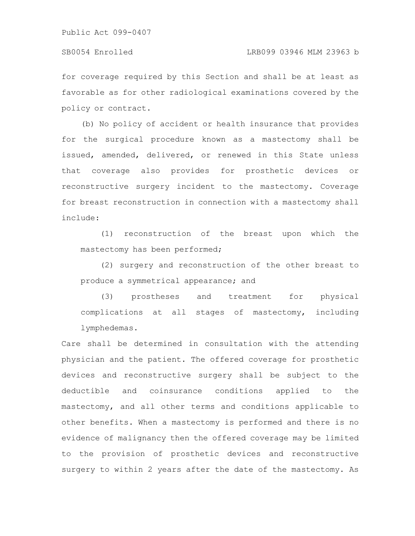for coverage required by this Section and shall be at least as favorable as for other radiological examinations covered by the policy or contract.

(b) No policy of accident or health insurance that provides for the surgical procedure known as a mastectomy shall be issued, amended, delivered, or renewed in this State unless that coverage also provides for prosthetic devices or reconstructive surgery incident to the mastectomy. Coverage for breast reconstruction in connection with a mastectomy shall include:

(1) reconstruction of the breast upon which the mastectomy has been performed;

(2) surgery and reconstruction of the other breast to produce a symmetrical appearance; and

(3) prostheses and treatment for physical complications at all stages of mastectomy, including lymphedemas.

Care shall be determined in consultation with the attending physician and the patient. The offered coverage for prosthetic devices and reconstructive surgery shall be subject to the deductible and coinsurance conditions applied to the mastectomy, and all other terms and conditions applicable to other benefits. When a mastectomy is performed and there is no evidence of malignancy then the offered coverage may be limited to the provision of prosthetic devices and reconstructive surgery to within 2 years after the date of the mastectomy. As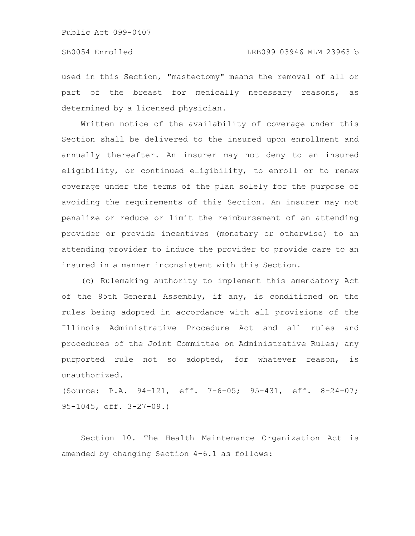used in this Section, "mastectomy" means the removal of all or part of the breast for medically necessary reasons, as determined by a licensed physician.

Written notice of the availability of coverage under this Section shall be delivered to the insured upon enrollment and annually thereafter. An insurer may not deny to an insured eligibility, or continued eligibility, to enroll or to renew coverage under the terms of the plan solely for the purpose of avoiding the requirements of this Section. An insurer may not penalize or reduce or limit the reimbursement of an attending provider or provide incentives (monetary or otherwise) to an attending provider to induce the provider to provide care to an insured in a manner inconsistent with this Section.

(c) Rulemaking authority to implement this amendatory Act of the 95th General Assembly, if any, is conditioned on the rules being adopted in accordance with all provisions of the Illinois Administrative Procedure Act and all rules and procedures of the Joint Committee on Administrative Rules; any purported rule not so adopted, for whatever reason, is unauthorized.

(Source: P.A. 94-121, eff. 7-6-05; 95-431, eff. 8-24-07; 95-1045, eff. 3-27-09.)

Section 10. The Health Maintenance Organization Act is amended by changing Section 4-6.1 as follows: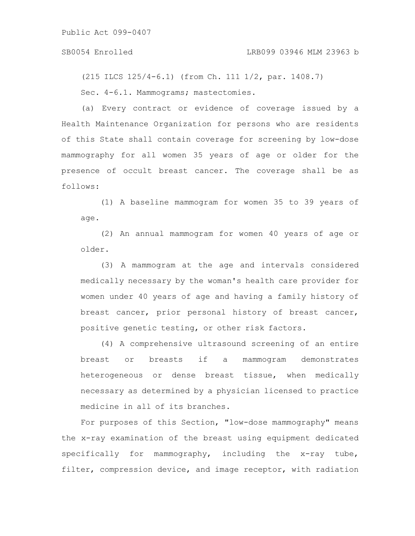(215 ILCS 125/4-6.1) (from Ch. 111 1/2, par. 1408.7) Sec.  $4-6.1$ . Mammograms; mastectomies.

(a) Every contract or evidence of coverage issued by a Health Maintenance Organization for persons who are residents of this State shall contain coverage for screening by low-dose mammography for all women 35 years of age or older for the presence of occult breast cancer. The coverage shall be as follows:

(1) A baseline mammogram for women 35 to 39 years of age.

(2) An annual mammogram for women 40 years of age or older.

(3) A mammogram at the age and intervals considered medically necessary by the woman's health care provider for women under 40 years of age and having a family history of breast cancer, prior personal history of breast cancer, positive genetic testing, or other risk factors.

(4) A comprehensive ultrasound screening of an entire breast or breasts if a mammogram demonstrates heterogeneous or dense breast tissue, when medically necessary as determined by a physician licensed to practice medicine in all of its branches.

For purposes of this Section, "low-dose mammography" means the x-ray examination of the breast using equipment dedicated specifically for mammography, including the x-ray tube, filter, compression device, and image receptor, with radiation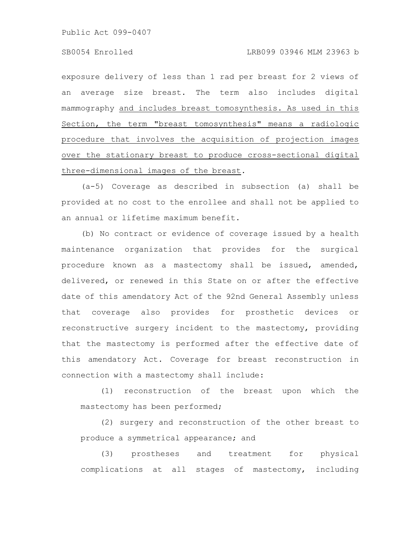exposure delivery of less than 1 rad per breast for 2 views of an average size breast. The term also includes digital mammography and includes breast tomosynthesis. As used in this Section, the term "breast tomosynthesis" means a radiologic procedure that involves the acquisition of projection images over the stationary breast to produce cross-sectional digital three-dimensional images of the breast.

(a-5) Coverage as described in subsection (a) shall be provided at no cost to the enrollee and shall not be applied to an annual or lifetime maximum benefit.

(b) No contract or evidence of coverage issued by a health maintenance organization that provides for the surgical procedure known as a mastectomy shall be issued, amended, delivered, or renewed in this State on or after the effective date of this amendatory Act of the 92nd General Assembly unless that coverage also provides for prosthetic devices or reconstructive surgery incident to the mastectomy, providing that the mastectomy is performed after the effective date of this amendatory Act. Coverage for breast reconstruction in connection with a mastectomy shall include:

(1) reconstruction of the breast upon which the mastectomy has been performed;

(2) surgery and reconstruction of the other breast to produce a symmetrical appearance; and

(3) prostheses and treatment for physical complications at all stages of mastectomy, including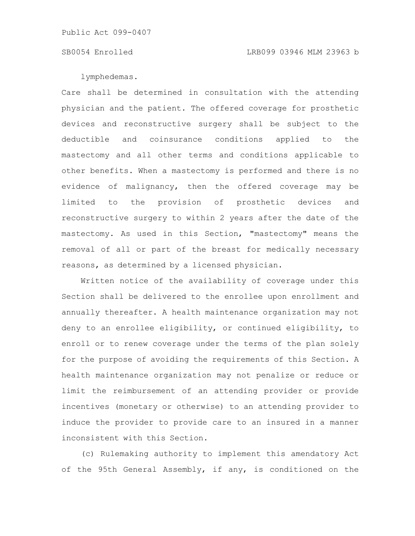lymphedemas.

Care shall be determined in consultation with the attending physician and the patient. The offered coverage for prosthetic devices and reconstructive surgery shall be subject to the deductible and coinsurance conditions applied to the mastectomy and all other terms and conditions applicable to other benefits. When a mastectomy is performed and there is no evidence of malignancy, then the offered coverage may be limited to the provision of prosthetic devices and reconstructive surgery to within 2 years after the date of the mastectomy. As used in this Section, "mastectomy" means the removal of all or part of the breast for medically necessary reasons, as determined by a licensed physician.

Written notice of the availability of coverage under this Section shall be delivered to the enrollee upon enrollment and annually thereafter. A health maintenance organization may not deny to an enrollee eligibility, or continued eligibility, to enroll or to renew coverage under the terms of the plan solely for the purpose of avoiding the requirements of this Section. A health maintenance organization may not penalize or reduce or limit the reimbursement of an attending provider or provide incentives (monetary or otherwise) to an attending provider to induce the provider to provide care to an insured in a manner inconsistent with this Section.

(c) Rulemaking authority to implement this amendatory Act of the 95th General Assembly, if any, is conditioned on the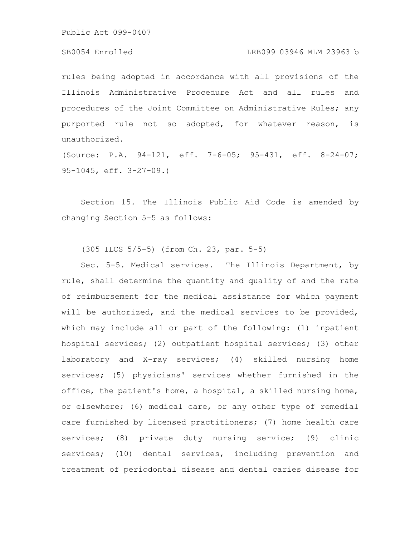### SB0054 Enrolled LRB099 03946 MLM 23963 b

rules being adopted in accordance with all provisions of the Illinois Administrative Procedure Act and all rules and procedures of the Joint Committee on Administrative Rules; any purported rule not so adopted, for whatever reason, is unauthorized.

(Source: P.A. 94-121, eff. 7-6-05; 95-431, eff. 8-24-07; 95-1045, eff. 3-27-09.)

Section 15. The Illinois Public Aid Code is amended by changing Section 5-5 as follows:

(305 ILCS 5/5-5) (from Ch. 23, par. 5-5)

Sec. 5-5. Medical services. The Illinois Department, by rule, shall determine the quantity and quality of and the rate of reimbursement for the medical assistance for which payment will be authorized, and the medical services to be provided, which may include all or part of the following: (1) inpatient hospital services; (2) outpatient hospital services; (3) other laboratory and X-ray services; (4) skilled nursing home services; (5) physicians' services whether furnished in the office, the patient's home, a hospital, a skilled nursing home, or elsewhere; (6) medical care, or any other type of remedial care furnished by licensed practitioners; (7) home health care services; (8) private duty nursing service; (9) clinic services; (10) dental services, including prevention and treatment of periodontal disease and dental caries disease for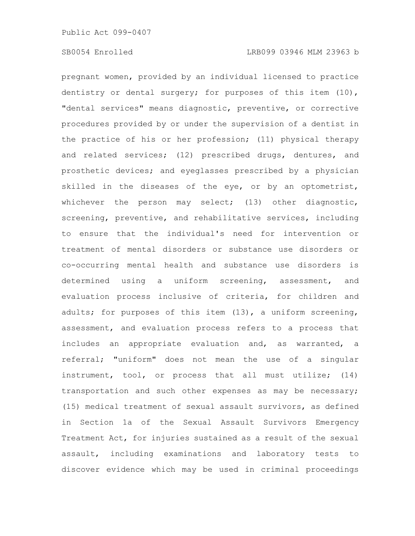pregnant women, provided by an individual licensed to practice dentistry or dental surgery; for purposes of this item (10), "dental services" means diagnostic, preventive, or corrective procedures provided by or under the supervision of a dentist in the practice of his or her profession; (11) physical therapy and related services; (12) prescribed drugs, dentures, and prosthetic devices; and eyeglasses prescribed by a physician skilled in the diseases of the eye, or by an optometrist, whichever the person may select; (13) other diagnostic, screening, preventive, and rehabilitative services, including to ensure that the individual's need for intervention or treatment of mental disorders or substance use disorders or co-occurring mental health and substance use disorders is determined using a uniform screening, assessment, and evaluation process inclusive of criteria, for children and adults; for purposes of this item (13), a uniform screening, assessment, and evaluation process refers to a process that includes an appropriate evaluation and, as warranted, a referral; "uniform" does not mean the use of a singular instrument, tool, or process that all must utilize; (14) transportation and such other expenses as may be necessary; (15) medical treatment of sexual assault survivors, as defined in Section 1a of the Sexual Assault Survivors Emergency Treatment Act, for injuries sustained as a result of the sexual assault, including examinations and laboratory tests to discover evidence which may be used in criminal proceedings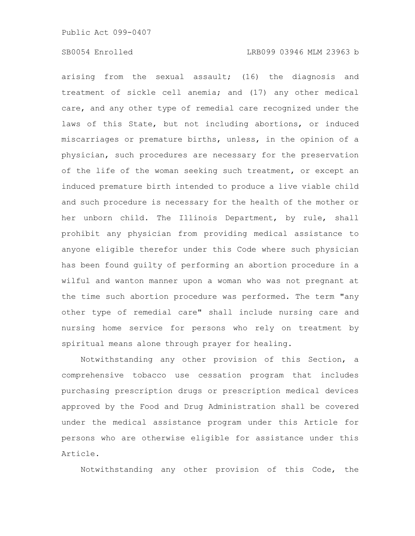arising from the sexual assault; (16) the diagnosis and treatment of sickle cell anemia; and (17) any other medical care, and any other type of remedial care recognized under the laws of this State, but not including abortions, or induced miscarriages or premature births, unless, in the opinion of a physician, such procedures are necessary for the preservation of the life of the woman seeking such treatment, or except an induced premature birth intended to produce a live viable child and such procedure is necessary for the health of the mother or her unborn child. The Illinois Department, by rule, shall prohibit any physician from providing medical assistance to anyone eligible therefor under this Code where such physician has been found guilty of performing an abortion procedure in a wilful and wanton manner upon a woman who was not pregnant at the time such abortion procedure was performed. The term "any other type of remedial care" shall include nursing care and nursing home service for persons who rely on treatment by spiritual means alone through prayer for healing.

Notwithstanding any other provision of this Section, a comprehensive tobacco use cessation program that includes purchasing prescription drugs or prescription medical devices approved by the Food and Drug Administration shall be covered under the medical assistance program under this Article for persons who are otherwise eligible for assistance under this Article.

Notwithstanding any other provision of this Code, the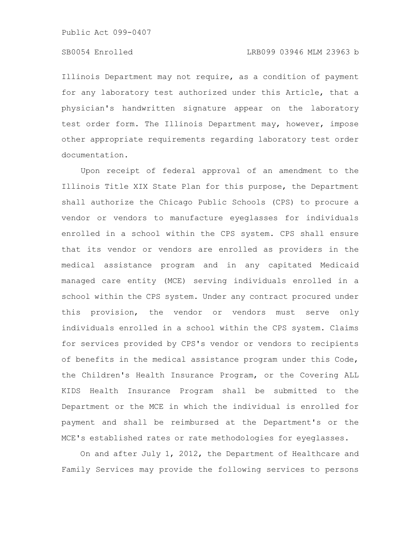Illinois Department may not require, as a condition of payment for any laboratory test authorized under this Article, that a physician's handwritten signature appear on the laboratory test order form. The Illinois Department may, however, impose other appropriate requirements regarding laboratory test order documentation.

Upon receipt of federal approval of an amendment to the Illinois Title XIX State Plan for this purpose, the Department shall authorize the Chicago Public Schools (CPS) to procure a vendor or vendors to manufacture eyeglasses for individuals enrolled in a school within the CPS system. CPS shall ensure that its vendor or vendors are enrolled as providers in the medical assistance program and in any capitated Medicaid managed care entity (MCE) serving individuals enrolled in a school within the CPS system. Under any contract procured under this provision, the vendor or vendors must serve only individuals enrolled in a school within the CPS system. Claims for services provided by CPS's vendor or vendors to recipients of benefits in the medical assistance program under this Code, the Children's Health Insurance Program, or the Covering ALL KIDS Health Insurance Program shall be submitted to the Department or the MCE in which the individual is enrolled for payment and shall be reimbursed at the Department's or the MCE's established rates or rate methodologies for eyeglasses.

On and after July 1, 2012, the Department of Healthcare and Family Services may provide the following services to persons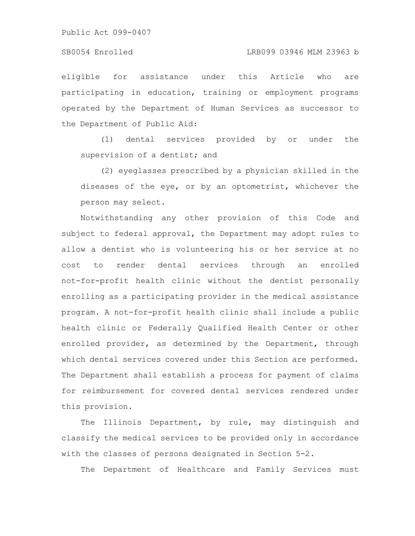#### SB0054 Enrolled LRB099 03946 MLM 23963 b

eligible for assistance under this Article who are participating in education, training or employment programs operated by the Department of Human Services as successor to the Department of Public Aid:

(1) dental services provided by or under the supervision of a dentist; and

(2) eyeglasses prescribed by a physician skilled in the diseases of the eye, or by an optometrist, whichever the person may select.

Notwithstanding any other provision of this Code and subject to federal approval, the Department may adopt rules to allow a dentist who is volunteering his or her service at no cost to render dental services through an enrolled not-for-profit health clinic without the dentist personally enrolling as a participating provider in the medical assistance program. A not-for-profit health clinic shall include a public health clinic or Federally Qualified Health Center or other enrolled provider, as determined by the Department, through which dental services covered under this Section are performed. The Department shall establish a process for payment of claims for reimbursement for covered dental services rendered under this provision.

The Illinois Department, by rule, may distinguish and classify the medical services to be provided only in accordance with the classes of persons designated in Section 5-2.

The Department of Healthcare and Family Services must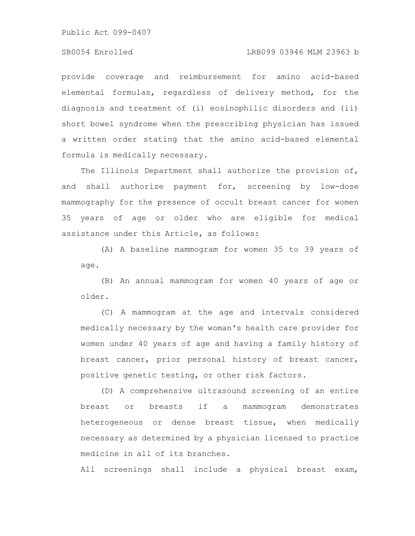### SB0054 Enrolled LRB099 03946 MLM 23963 b

provide coverage and reimbursement for amino acid-based elemental formulas, regardless of delivery method, for the diagnosis and treatment of (i) eosinophilic disorders and (ii) short bowel syndrome when the prescribing physician has issued a written order stating that the amino acid-based elemental formula is medically necessary.

The Illinois Department shall authorize the provision of, and shall authorize payment for, screening by low-dose mammography for the presence of occult breast cancer for women 35 years of age or older who are eligible for medical assistance under this Article, as follows:

(A) A baseline mammogram for women 35 to 39 years of age.

(B) An annual mammogram for women 40 years of age or older.

(C) A mammogram at the age and intervals considered medically necessary by the woman's health care provider for women under 40 years of age and having a family history of breast cancer, prior personal history of breast cancer, positive genetic testing, or other risk factors.

(D) A comprehensive ultrasound screening of an entire breast or breasts if a mammogram demonstrates heterogeneous or dense breast tissue, when medically necessary as determined by a physician licensed to practice medicine in all of its branches.

All screenings shall include a physical breast exam,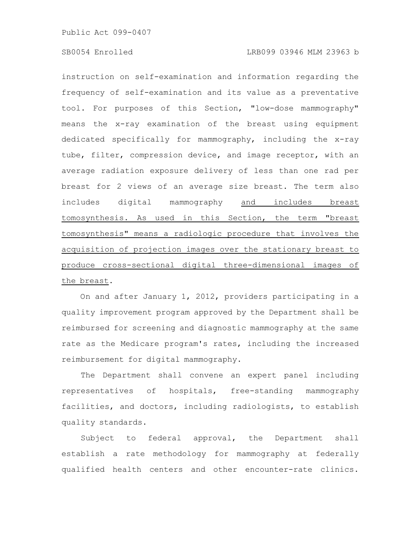### SB0054 Enrolled LRB099 03946 MLM 23963 b

instruction on self-examination and information regarding the frequency of self-examination and its value as a preventative tool. For purposes of this Section, "low-dose mammography" means the x-ray examination of the breast using equipment dedicated specifically for mammography, including the x-ray tube, filter, compression device, and image receptor, with an average radiation exposure delivery of less than one rad per breast for 2 views of an average size breast. The term also includes digital mammography and includes breast tomosynthesis. As used in this Section, the term "breast tomosynthesis" means a radiologic procedure that involves the acquisition of projection images over the stationary breast to produce cross-sectional digital three-dimensional images of the breast.

On and after January 1, 2012, providers participating in a quality improvement program approved by the Department shall be reimbursed for screening and diagnostic mammography at the same rate as the Medicare program's rates, including the increased reimbursement for digital mammography.

The Department shall convene an expert panel including representatives of hospitals, free-standing mammography facilities, and doctors, including radiologists, to establish quality standards.

Subject to federal approval, the Department shall establish a rate methodology for mammography at federally qualified health centers and other encounter-rate clinics.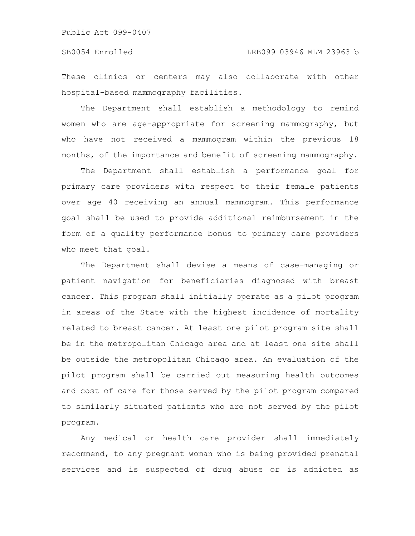These clinics or centers may also collaborate with other hospital-based mammography facilities.

The Department shall establish a methodology to remind women who are age-appropriate for screening mammography, but who have not received a mammogram within the previous 18 months, of the importance and benefit of screening mammography.

The Department shall establish a performance goal for primary care providers with respect to their female patients over age 40 receiving an annual mammogram. This performance goal shall be used to provide additional reimbursement in the form of a quality performance bonus to primary care providers who meet that goal.

The Department shall devise a means of case-managing or patient navigation for beneficiaries diagnosed with breast cancer. This program shall initially operate as a pilot program in areas of the State with the highest incidence of mortality related to breast cancer. At least one pilot program site shall be in the metropolitan Chicago area and at least one site shall be outside the metropolitan Chicago area. An evaluation of the pilot program shall be carried out measuring health outcomes and cost of care for those served by the pilot program compared to similarly situated patients who are not served by the pilot program.

Any medical or health care provider shall immediately recommend, to any pregnant woman who is being provided prenatal services and is suspected of drug abuse or is addicted as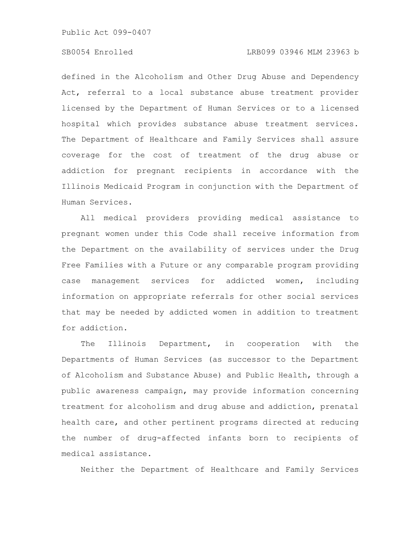### SB0054 Enrolled LRB099 03946 MLM 23963 b

defined in the Alcoholism and Other Drug Abuse and Dependency Act, referral to a local substance abuse treatment provider licensed by the Department of Human Services or to a licensed hospital which provides substance abuse treatment services. The Department of Healthcare and Family Services shall assure coverage for the cost of treatment of the drug abuse or addiction for pregnant recipients in accordance with the Illinois Medicaid Program in conjunction with the Department of Human Services.

All medical providers providing medical assistance to pregnant women under this Code shall receive information from the Department on the availability of services under the Drug Free Families with a Future or any comparable program providing case management services for addicted women, including information on appropriate referrals for other social services that may be needed by addicted women in addition to treatment for addiction.

The Illinois Department, in cooperation with the Departments of Human Services (as successor to the Department of Alcoholism and Substance Abuse) and Public Health, through a public awareness campaign, may provide information concerning treatment for alcoholism and drug abuse and addiction, prenatal health care, and other pertinent programs directed at reducing the number of drug-affected infants born to recipients of medical assistance.

Neither the Department of Healthcare and Family Services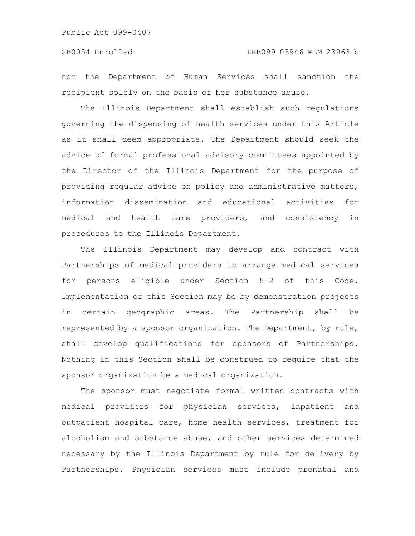nor the Department of Human Services shall sanction the recipient solely on the basis of her substance abuse.

The Illinois Department shall establish such regulations governing the dispensing of health services under this Article as it shall deem appropriate. The Department should seek the advice of formal professional advisory committees appointed by the Director of the Illinois Department for the purpose of providing regular advice on policy and administrative matters, information dissemination and educational activities for medical and health care providers, and consistency in procedures to the Illinois Department.

The Illinois Department may develop and contract with Partnerships of medical providers to arrange medical services for persons eligible under Section 5-2 of this Code. Implementation of this Section may be by demonstration projects in certain geographic areas. The Partnership shall be represented by a sponsor organization. The Department, by rule, shall develop qualifications for sponsors of Partnerships. Nothing in this Section shall be construed to require that the sponsor organization be a medical organization.

The sponsor must negotiate formal written contracts with medical providers for physician services, inpatient and outpatient hospital care, home health services, treatment for alcoholism and substance abuse, and other services determined necessary by the Illinois Department by rule for delivery by Partnerships. Physician services must include prenatal and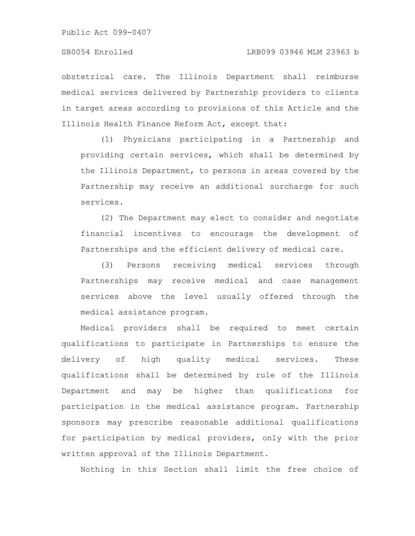obstetrical care. The Illinois Department shall reimburse medical services delivered by Partnership providers to clients in target areas according to provisions of this Article and the Illinois Health Finance Reform Act, except that:

(1) Physicians participating in a Partnership and providing certain services, which shall be determined by the Illinois Department, to persons in areas covered by the Partnership may receive an additional surcharge for such services.

(2) The Department may elect to consider and negotiate financial incentives to encourage the development of Partnerships and the efficient delivery of medical care.

(3) Persons receiving medical services through Partnerships may receive medical and case management services above the level usually offered through the medical assistance program.

Medical providers shall be required to meet certain qualifications to participate in Partnerships to ensure the delivery of high quality medical services. These qualifications shall be determined by rule of the Illinois Department and may be higher than qualifications for participation in the medical assistance program. Partnership sponsors may prescribe reasonable additional qualifications for participation by medical providers, only with the prior written approval of the Illinois Department.

Nothing in this Section shall limit the free choice of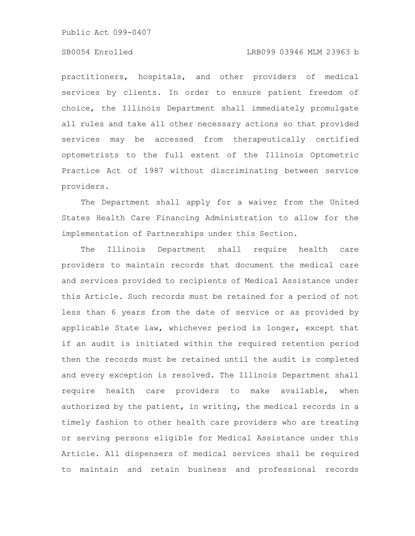### SB0054 Enrolled LRB099 03946 MLM 23963 b

practitioners, hospitals, and other providers of medical services by clients. In order to ensure patient freedom of choice, the Illinois Department shall immediately promulgate all rules and take all other necessary actions so that provided services may be accessed from therapeutically certified optometrists to the full extent of the Illinois Optometric Practice Act of 1987 without discriminating between service providers.

The Department shall apply for a waiver from the United States Health Care Financing Administration to allow for the implementation of Partnerships under this Section.

The Illinois Department shall require health care providers to maintain records that document the medical care and services provided to recipients of Medical Assistance under this Article. Such records must be retained for a period of not less than 6 years from the date of service or as provided by applicable State law, whichever period is longer, except that if an audit is initiated within the required retention period then the records must be retained until the audit is completed and every exception is resolved. The Illinois Department shall require health care providers to make available, when authorized by the patient, in writing, the medical records in a timely fashion to other health care providers who are treating or serving persons eligible for Medical Assistance under this Article. All dispensers of medical services shall be required to maintain and retain business and professional records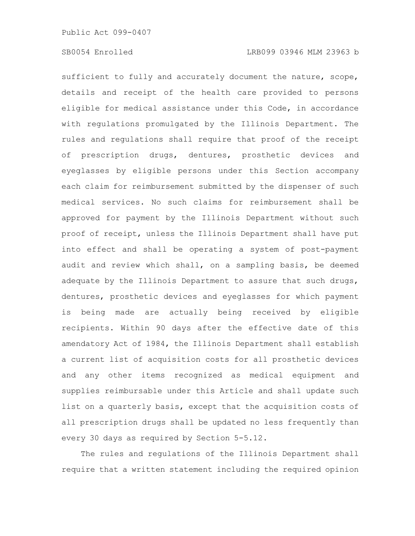sufficient to fully and accurately document the nature, scope, details and receipt of the health care provided to persons eligible for medical assistance under this Code, in accordance with regulations promulgated by the Illinois Department. The rules and regulations shall require that proof of the receipt of prescription drugs, dentures, prosthetic devices and eyeglasses by eligible persons under this Section accompany each claim for reimbursement submitted by the dispenser of such medical services. No such claims for reimbursement shall be approved for payment by the Illinois Department without such proof of receipt, unless the Illinois Department shall have put into effect and shall be operating a system of post-payment audit and review which shall, on a sampling basis, be deemed adequate by the Illinois Department to assure that such drugs, dentures, prosthetic devices and eyeglasses for which payment is being made are actually being received by eligible recipients. Within 90 days after the effective date of this amendatory Act of 1984, the Illinois Department shall establish a current list of acquisition costs for all prosthetic devices and any other items recognized as medical equipment and supplies reimbursable under this Article and shall update such list on a quarterly basis, except that the acquisition costs of all prescription drugs shall be updated no less frequently than every 30 days as required by Section 5-5.12.

The rules and regulations of the Illinois Department shall require that a written statement including the required opinion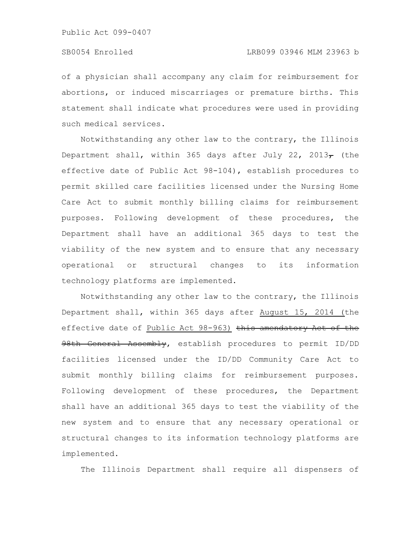of a physician shall accompany any claim for reimbursement for abortions, or induced miscarriages or premature births. This statement shall indicate what procedures were used in providing such medical services.

Notwithstanding any other law to the contrary, the Illinois Department shall, within 365 days after July 22, 2013 $\tau$  (the effective date of Public Act 98-104), establish procedures to permit skilled care facilities licensed under the Nursing Home Care Act to submit monthly billing claims for reimbursement purposes. Following development of these procedures, the Department shall have an additional 365 days to test the viability of the new system and to ensure that any necessary operational or structural changes to its information technology platforms are implemented.

Notwithstanding any other law to the contrary, the Illinois Department shall, within 365 days after August 15, 2014 (the effective date of Public Act 98-963) this amendatory Act of the 98th General Assembly, establish procedures to permit ID/DD facilities licensed under the ID/DD Community Care Act to submit monthly billing claims for reimbursement purposes. Following development of these procedures, the Department shall have an additional 365 days to test the viability of the new system and to ensure that any necessary operational or structural changes to its information technology platforms are implemented.

The Illinois Department shall require all dispensers of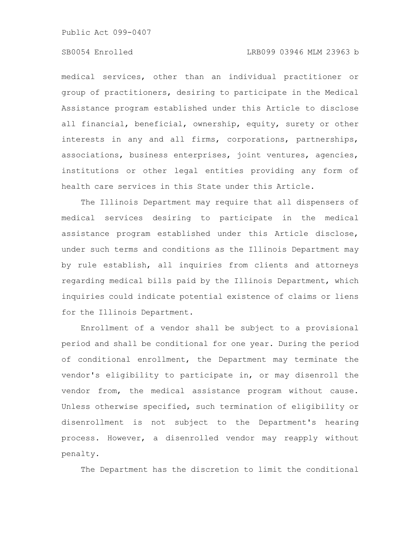### SB0054 Enrolled LRB099 03946 MLM 23963 b

medical services, other than an individual practitioner or group of practitioners, desiring to participate in the Medical Assistance program established under this Article to disclose all financial, beneficial, ownership, equity, surety or other interests in any and all firms, corporations, partnerships, associations, business enterprises, joint ventures, agencies, institutions or other legal entities providing any form of health care services in this State under this Article.

The Illinois Department may require that all dispensers of medical services desiring to participate in the medical assistance program established under this Article disclose, under such terms and conditions as the Illinois Department may by rule establish, all inquiries from clients and attorneys regarding medical bills paid by the Illinois Department, which inquiries could indicate potential existence of claims or liens for the Illinois Department.

Enrollment of a vendor shall be subject to a provisional period and shall be conditional for one year. During the period of conditional enrollment, the Department may terminate the vendor's eligibility to participate in, or may disenroll the vendor from, the medical assistance program without cause. Unless otherwise specified, such termination of eligibility or disenrollment is not subject to the Department's hearing process. However, a disenrolled vendor may reapply without penalty.

The Department has the discretion to limit the conditional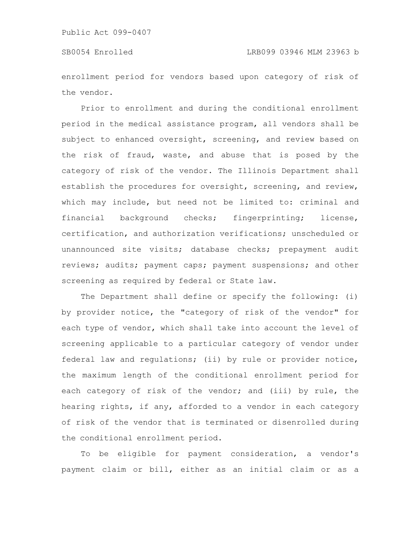enrollment period for vendors based upon category of risk of the vendor.

Prior to enrollment and during the conditional enrollment period in the medical assistance program, all vendors shall be subject to enhanced oversight, screening, and review based on the risk of fraud, waste, and abuse that is posed by the category of risk of the vendor. The Illinois Department shall establish the procedures for oversight, screening, and review, which may include, but need not be limited to: criminal and financial background checks; fingerprinting; license, certification, and authorization verifications; unscheduled or unannounced site visits; database checks; prepayment audit reviews; audits; payment caps; payment suspensions; and other screening as required by federal or State law.

The Department shall define or specify the following: (i) by provider notice, the "category of risk of the vendor" for each type of vendor, which shall take into account the level of screening applicable to a particular category of vendor under federal law and regulations; (ii) by rule or provider notice, the maximum length of the conditional enrollment period for each category of risk of the vendor; and (iii) by rule, the hearing rights, if any, afforded to a vendor in each category of risk of the vendor that is terminated or disenrolled during the conditional enrollment period.

To be eligible for payment consideration, a vendor's payment claim or bill, either as an initial claim or as a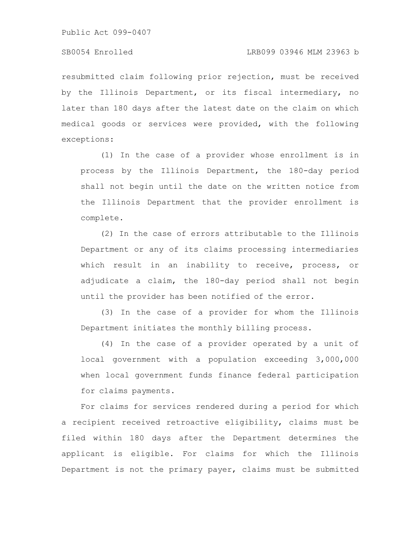resubmitted claim following prior rejection, must be received by the Illinois Department, or its fiscal intermediary, no later than 180 days after the latest date on the claim on which medical goods or services were provided, with the following exceptions:

(1) In the case of a provider whose enrollment is in process by the Illinois Department, the 180-day period shall not begin until the date on the written notice from the Illinois Department that the provider enrollment is complete.

(2) In the case of errors attributable to the Illinois Department or any of its claims processing intermediaries which result in an inability to receive, process, or adjudicate a claim, the 180-day period shall not begin until the provider has been notified of the error.

(3) In the case of a provider for whom the Illinois Department initiates the monthly billing process.

(4) In the case of a provider operated by a unit of local government with a population exceeding 3,000,000 when local government funds finance federal participation for claims payments.

For claims for services rendered during a period for which a recipient received retroactive eligibility, claims must be filed within 180 days after the Department determines the applicant is eligible. For claims for which the Illinois Department is not the primary payer, claims must be submitted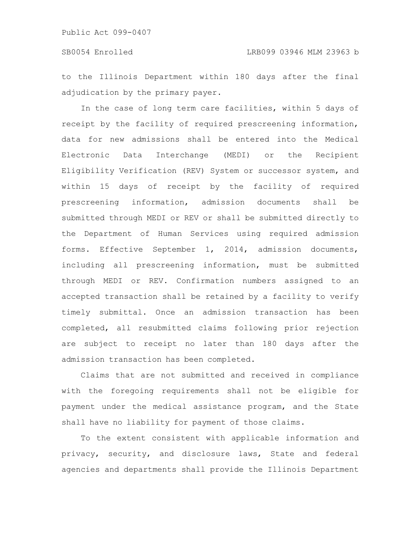to the Illinois Department within 180 days after the final adjudication by the primary payer.

In the case of long term care facilities, within 5 days of receipt by the facility of required prescreening information, data for new admissions shall be entered into the Medical Electronic Data Interchange (MEDI) or the Recipient Eligibility Verification (REV) System or successor system, and within 15 days of receipt by the facility of required prescreening information, admission documents shall be submitted through MEDI or REV or shall be submitted directly to the Department of Human Services using required admission forms. Effective September 1, 2014, admission documents, including all prescreening information, must be submitted through MEDI or REV. Confirmation numbers assigned to an accepted transaction shall be retained by a facility to verify timely submittal. Once an admission transaction has been completed, all resubmitted claims following prior rejection are subject to receipt no later than 180 days after the admission transaction has been completed.

Claims that are not submitted and received in compliance with the foregoing requirements shall not be eligible for payment under the medical assistance program, and the State shall have no liability for payment of those claims.

To the extent consistent with applicable information and privacy, security, and disclosure laws, State and federal agencies and departments shall provide the Illinois Department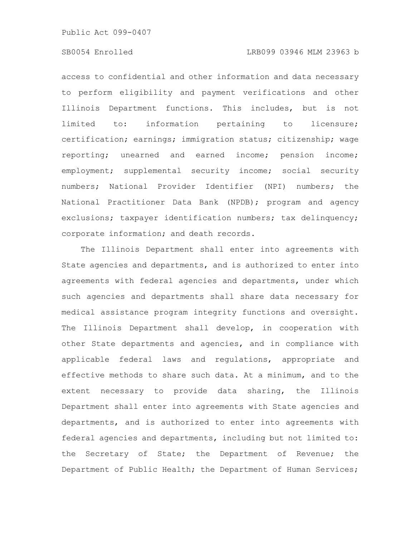## SB0054 Enrolled LRB099 03946 MLM 23963 b

access to confidential and other information and data necessary to perform eligibility and payment verifications and other Illinois Department functions. This includes, but is not limited to: information pertaining to licensure; certification; earnings; immigration status; citizenship; wage reporting; unearned and earned income; pension income; employment; supplemental security income; social security numbers; National Provider Identifier (NPI) numbers; the National Practitioner Data Bank (NPDB); program and agency exclusions; taxpayer identification numbers; tax delinquency; corporate information; and death records.

The Illinois Department shall enter into agreements with State agencies and departments, and is authorized to enter into agreements with federal agencies and departments, under which such agencies and departments shall share data necessary for medical assistance program integrity functions and oversight. The Illinois Department shall develop, in cooperation with other State departments and agencies, and in compliance with applicable federal laws and regulations, appropriate and effective methods to share such data. At a minimum, and to the extent necessary to provide data sharing, the Illinois Department shall enter into agreements with State agencies and departments, and is authorized to enter into agreements with federal agencies and departments, including but not limited to: the Secretary of State; the Department of Revenue; the Department of Public Health; the Department of Human Services;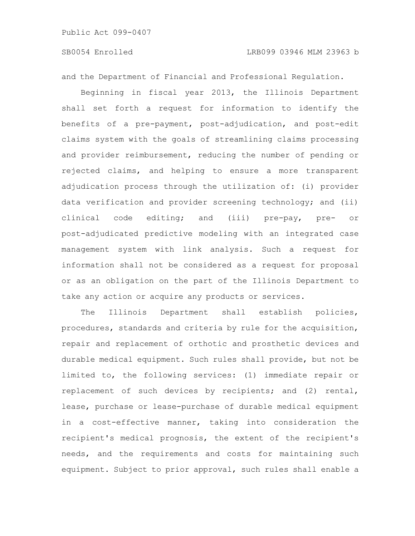and the Department of Financial and Professional Regulation.

Beginning in fiscal year 2013, the Illinois Department shall set forth a request for information to identify the benefits of a pre-payment, post-adjudication, and post-edit claims system with the goals of streamlining claims processing and provider reimbursement, reducing the number of pending or rejected claims, and helping to ensure a more transparent adjudication process through the utilization of: (i) provider data verification and provider screening technology; and (ii) clinical code editing; and (iii) pre-pay, pre- or post-adjudicated predictive modeling with an integrated case management system with link analysis. Such a request for information shall not be considered as a request for proposal or as an obligation on the part of the Illinois Department to take any action or acquire any products or services.

The Illinois Department shall establish policies, procedures, standards and criteria by rule for the acquisition, repair and replacement of orthotic and prosthetic devices and durable medical equipment. Such rules shall provide, but not be limited to, the following services: (1) immediate repair or replacement of such devices by recipients; and (2) rental, lease, purchase or lease-purchase of durable medical equipment in a cost-effective manner, taking into consideration the recipient's medical prognosis, the extent of the recipient's needs, and the requirements and costs for maintaining such equipment. Subject to prior approval, such rules shall enable a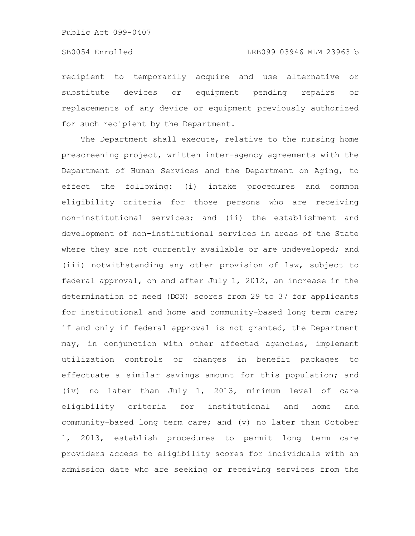recipient to temporarily acquire and use alternative or substitute devices or equipment pending repairs or replacements of any device or equipment previously authorized for such recipient by the Department.

The Department shall execute, relative to the nursing home prescreening project, written inter-agency agreements with the Department of Human Services and the Department on Aging, to effect the following: (i) intake procedures and common eligibility criteria for those persons who are receiving non-institutional services; and (ii) the establishment and development of non-institutional services in areas of the State where they are not currently available or are undeveloped; and (iii) notwithstanding any other provision of law, subject to federal approval, on and after July 1, 2012, an increase in the determination of need (DON) scores from 29 to 37 for applicants for institutional and home and community-based long term care; if and only if federal approval is not granted, the Department may, in conjunction with other affected agencies, implement utilization controls or changes in benefit packages to effectuate a similar savings amount for this population; and (iv) no later than July 1, 2013, minimum level of care eligibility criteria for institutional and home and community-based long term care; and (v) no later than October 1, 2013, establish procedures to permit long term care providers access to eligibility scores for individuals with an admission date who are seeking or receiving services from the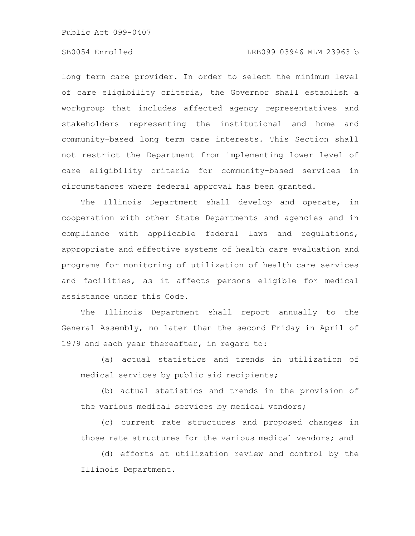### SB0054 Enrolled LRB099 03946 MLM 23963 b

long term care provider. In order to select the minimum level of care eligibility criteria, the Governor shall establish a workgroup that includes affected agency representatives and stakeholders representing the institutional and home and community-based long term care interests. This Section shall not restrict the Department from implementing lower level of care eligibility criteria for community-based services in circumstances where federal approval has been granted.

The Illinois Department shall develop and operate, in cooperation with other State Departments and agencies and in compliance with applicable federal laws and regulations, appropriate and effective systems of health care evaluation and programs for monitoring of utilization of health care services and facilities, as it affects persons eligible for medical assistance under this Code.

The Illinois Department shall report annually to the General Assembly, no later than the second Friday in April of 1979 and each year thereafter, in regard to:

(a) actual statistics and trends in utilization of medical services by public aid recipients;

(b) actual statistics and trends in the provision of the various medical services by medical vendors;

(c) current rate structures and proposed changes in those rate structures for the various medical vendors; and

(d) efforts at utilization review and control by the Illinois Department.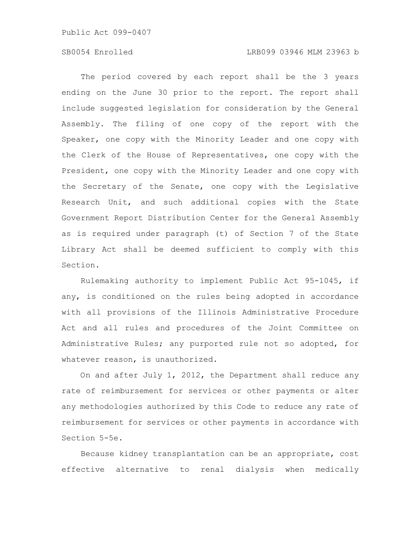### SB0054 Enrolled LRB099 03946 MLM 23963 b

The period covered by each report shall be the 3 years ending on the June 30 prior to the report. The report shall include suggested legislation for consideration by the General Assembly. The filing of one copy of the report with the Speaker, one copy with the Minority Leader and one copy with the Clerk of the House of Representatives, one copy with the President, one copy with the Minority Leader and one copy with the Secretary of the Senate, one copy with the Legislative Research Unit, and such additional copies with the State Government Report Distribution Center for the General Assembly as is required under paragraph (t) of Section 7 of the State Library Act shall be deemed sufficient to comply with this Section.

Rulemaking authority to implement Public Act 95-1045, if any, is conditioned on the rules being adopted in accordance with all provisions of the Illinois Administrative Procedure Act and all rules and procedures of the Joint Committee on Administrative Rules; any purported rule not so adopted, for whatever reason, is unauthorized.

On and after July 1, 2012, the Department shall reduce any rate of reimbursement for services or other payments or alter any methodologies authorized by this Code to reduce any rate of reimbursement for services or other payments in accordance with Section 5-5e.

Because kidney transplantation can be an appropriate, cost effective alternative to renal dialysis when medically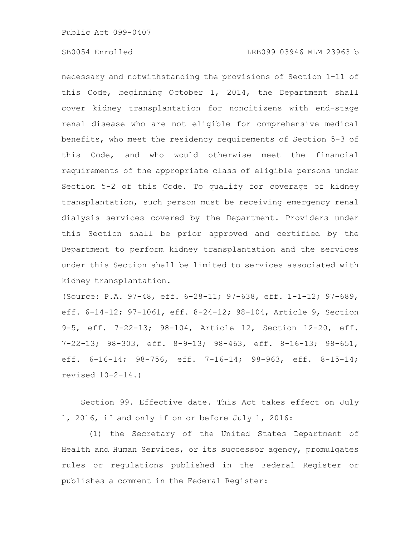necessary and notwithstanding the provisions of Section 1-11 of this Code, beginning October 1, 2014, the Department shall cover kidney transplantation for noncitizens with end-stage renal disease who are not eligible for comprehensive medical benefits, who meet the residency requirements of Section 5-3 of this Code, and who would otherwise meet the financial requirements of the appropriate class of eligible persons under Section 5-2 of this Code. To qualify for coverage of kidney transplantation, such person must be receiving emergency renal dialysis services covered by the Department. Providers under this Section shall be prior approved and certified by the Department to perform kidney transplantation and the services under this Section shall be limited to services associated with kidney transplantation.

(Source: P.A. 97-48, eff. 6-28-11; 97-638, eff. 1-1-12; 97-689, eff. 6-14-12; 97-1061, eff. 8-24-12; 98-104, Article 9, Section 9-5, eff. 7-22-13; 98-104, Article 12, Section 12-20, eff. 7-22-13; 98-303, eff. 8-9-13; 98-463, eff. 8-16-13; 98-651, eff. 6-16-14; 98-756, eff. 7-16-14; 98-963, eff. 8-15-14; revised 10-2-14.)

Section 99. Effective date. This Act takes effect on July 1, 2016, if and only if on or before July 1, 2016:

(1) the Secretary of the United States Department of Health and Human Services, or its successor agency, promulgates rules or regulations published in the Federal Register or publishes a comment in the Federal Register: